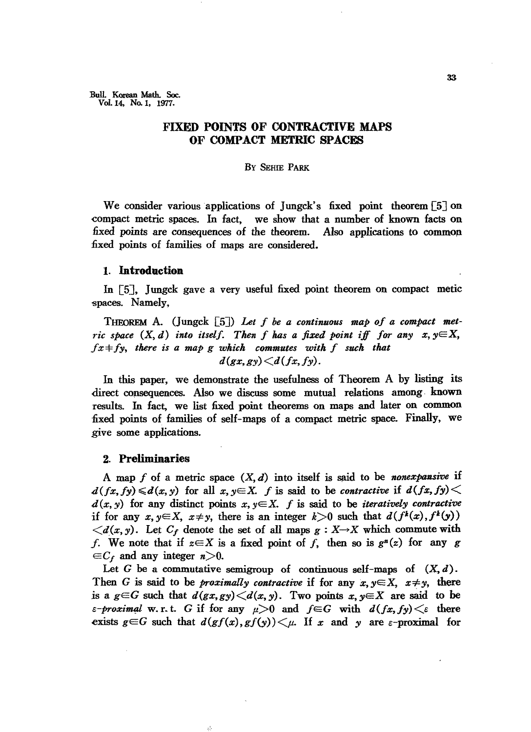Bull Korean Math. Soc. Vol. 14. No. 1. 1977.

# **FIXED POINTS OF CONTRACTIVE MAPS OF COMPACT METRIC SPACES**

# By SEHIE PARK

We consider various applications of Jungck's fixed point theorem  $\lceil 5 \rceil$  on -compact metric spaces. In fact, we show that a number of known facts on fixed points are consequences of the theorem. Also applications to common fixed points of families of maps are considered.

### 1. **Introduction**

In [5], Jungck gave a very useful fixed point theorem on compact metic spaces. Namely,

THEOREM A. (Jungck [5J) *Let f be a continuous map of a compact metric space*  $(X, d)$  *into itself. Then f has a fixed point iff for any*  $x, y \in X$ ,  $fx + fy$ , there is a map g which commutes with f such that  $d(gx,gy) \leq d(fx,fy)$ .

In this paper, we demonstrate the usefulness of Theorem A by listing its direct consequences. Also we discuss some mutual relations among known results. In fact, we list fixed point theorems on maps and later on common fixed points of families of self-maps of a compact metric space. Finally, we give some applications.

# 2. **Preliminaries**

A map f of a metric space  $(X, d)$  into itself is said to be *nonexpansive* if  $d(fx, fy) \le d(x, y)$  for all  $x, y \in X$ . *f* is said to be *contractive* if  $d(fx, fy) \le d(x, fy)$  $d(x, y)$  for any distinct points  $x, y \in X$ . *f* is said to be *iteratively contractive* if for any  $x, y \in X$ ,  $x \neq y$ , there is an integer  $k > 0$  such that  $d(f^k(x), f^k(y))$  $\langle d(x, y) \rangle$ . Let  $C_f$  denote the set of all maps  $g: X \rightarrow X$  which commute with f. We note that if  $z \in X$  is a fixed point of f, then so is  $g^*(z)$  for any g  $\in C_f$  and any integer  $n>0$ .

Let G be a commutative semigroup of continuous self-maps of  $(X, d)$ . Then G is said to be *proximally contractive* if for any  $x, y \in X$ ,  $x \neq y$ , there is a  $g \in G$  such that  $d(gx, gy) \leq d(x, y)$ . Two points  $x, y \in X$  are said to be *c-proximal* w.r.t. G if for any  $\mu > 0$  and  $f \in G$  with  $d(fx, fy) < \epsilon$  there exists  $g \in G$  such that  $d(gf(x),gf(y)) \leq \mu$ . If x and y are  $\varepsilon$ -proximal for

a)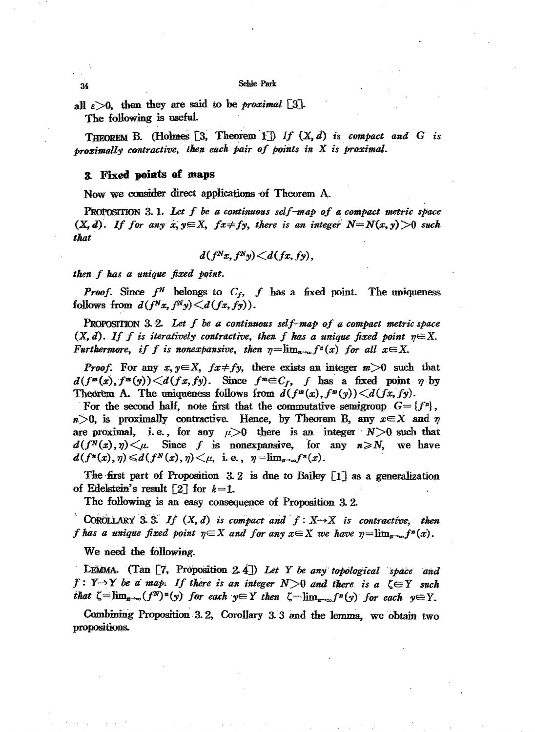#### Sehie Park

all  $\varepsilon > 0$ , then they are said to be *proximal* [3]. The following is useful.

THEOREM B. (Holmes  $[3,$  Theorem 1]) If  $(X, d)$  is compact and G is proximally contractive, then each pair of points in X is proximal.

# 3. Fixed points of maps

Now we consider direct applications of Theorem A.

PROPOSITION 3.1. Let  $f$  be a continuous self-map of a compact metric space  $(X, d)$ . If for any x,  $y \in X$ ,  $fx \neq fy$ , there is an integer  $N = N(x, y) > 0$  such that

$$
d(f^N x, f^N y) \leq d(fx, fy),
$$

then f has a unique fixed point.

*Proof.* Since  $f^N$  belongs to  $C_f$ ,  $f$  has a fixed point. The uniqueness follows from  $d(f^Nx, f^Ny) \le d(fx, fy)$ .

**PROPOSITION** 3.2. Let  $f$  be a continuous self-map of a compact metric space  $(X, d)$ . If f is iteratively contractive, then f has a unique fixed point  $n \in X$ . Furthermore, if f is nonexpansive, then  $\eta = \lim_{n \to \infty} f^{n}(x)$  for all  $x \in X$ .

*Proof.* For any  $x, y \in X$ ,  $fx \neq fy$ , there exists an integer  $m > 0$  such that  $d(f^{m}(x), f^{m}(y)) < d(fx, fy)$ . Since  $f^{m} \in C_f$ , f has a fixed point  $\eta$  by Theorem A. The uniqueness follows from  $d(f^m(x), f^m(y)) \leq d(fx, fy)$ .

For the second half, note first that the commutative semigroup  $G = \{f^n\}$ ,  $n>0$ , is proximally contractive. Hence, by Theorem B, any  $x \in X$  and  $\eta$ are proximal, i.e., for any  $\mu > 0$  there is an integer  $N > 0$  such that  $d(f^N(x), \eta) \leq \mu$ . Since f is nonexpansive, for any  $n \geq N$ , we have  $d(f^{n}(x), \eta) \le d(f^{N}(x), \eta) \le \mu$ , i.e.,  $\eta = \lim_{\eta \to \infty} f^{n}(x)$ .

The first part of Proposition 3.2 is due to Bailey  $\lceil 1 \rceil$  as a generalization of Edelstein's result  $[2]$  for  $k=1$ .

The following is an easy consequence of Proposition 3.2.

COROLLARY 3.3. If  $(X, d)$  is compact and  $f: X \rightarrow X$  is contractive, then f has a unique fixed point  $\eta \in X$  and for any  $x \in X$  we have  $\eta = \lim_{n \to \infty} f^n(x)$ .

We need the following.

**LEMMA.** (Tan  $[7,$  Proposition 2.4]) Let Y be any topological space and  $f: Y \rightarrow Y$  be a map. If there is an integer  $N > 0$  and there is a  $\zeta \in Y$  such that  $\zeta = \lim_{n \to \infty} (f^N)^n(y)$  for each  $y \in Y$  then  $\zeta = \lim_{n \to \infty} f^n(y)$  for each  $y \in Y$ .

Combining Proposition 3.2, Corollary 3.3 and the lemma, we obtain two propositions.

34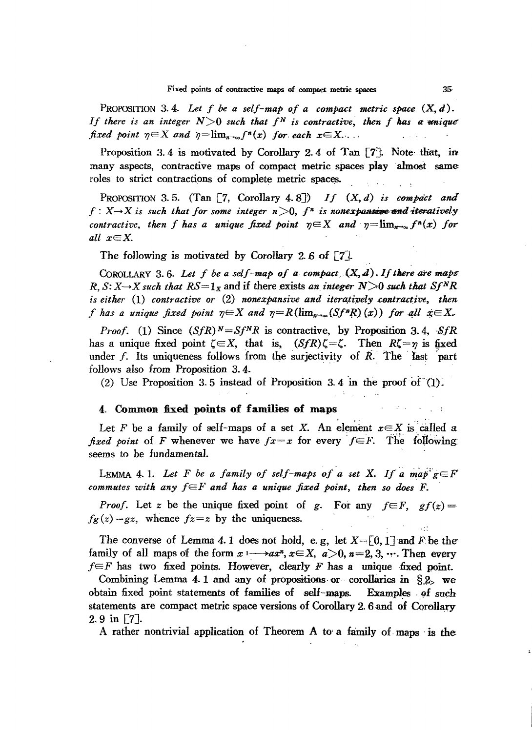PROPOSITION 3.4. Let  $f$  be a self-map of a compact metric space  $(X, d)$ . *If* there is an integer  $N>0$  such that  $f^N$  is contractive, then f has a unique *fixed point*  $\eta \in X$  *and*  $\eta = \lim_{n \to \infty} f^n(x)$  *for each*  $x \in X$ ...

Proposition 3.4 is motivated by Corollary 2.4 of Tan  $77$ . Note-that, in many aspects, contractive maps of compact metric spaces play almost same roles to strict contractions of complete metric spaces.

PROPOSITION 3.5. (Tan  $\lceil 7, \text{Corollary } 4.8 \rceil$ ) *If*  $(X, d)$  *is compact and*  $f: X \rightarrow X$  *is such that for some integer*  $n > 0$ ,  $f<sup>n</sup>$  *is nonexpansive and iteratively contractive, then f* has a unique fixed point  $\eta \in X$  and  $\eta = \lim_{n \to \infty} f^{n}(x)$  for *all xEX.*

The following is motivated by Corollary 2.6 of  $\lceil 7 \rceil$ .

COROLLARY 3.6. Let  $f$  be a self-map of  $a$  compact  $(X, d)$ . If there are maps:  $R, S: X \rightarrow X$  *such that*  $RS = 1_X$  and if there exists *an integer*  $N > 0$  *such that*  $Sf^N R$ *is* either (1) contractive or (2) nonexpansive and iteratively contractive, then *f* has a unique fixed point  $\eta \in X$  and  $\eta = R(\lim_{n \to \infty} (Sf^nR)(x))$  for all  $x \in X$ .

*Proof.* (1) Since  $(SfR)^N = Sf^NR$  is contractive, by Proposition 3.4, SfR has a unique fixed point  $\zeta \in X$ , that is,  $(SfR)\zeta = \zeta$ . Then  $R\zeta = \eta$  is fixed under  $f$ . Its uniqueness follows from the surjectivity of  $R$ . The last part follows also from Proposition 3.4.

(2) Use Proposition 3.5 instead of Proposition 3.4 in the proof of  $(1)$ .

# 4. Common fixed points of families of maps

Let F be a family of self-maps of a set X. An element  $x \in X$  is called a fixed point of F whenever we have  $fx=x$  for every  $f \in F$ . The following seems to be fundamental.

LEMMA 4.1. Let F be a family of self-maps of a set X. If a map  $g \in F$ commutes with any  $f \in F$  and has a unique fixed point, then so does F.

*Proof.* Let z be the unique fixed point of g. For any  $f \in F$ ,  $gf(z) =$  $f_{\mathcal{B}}(z) = gz$ , whence  $fz = z$  by the uniqueness.

The converse of Lemma 4.1 does not hold, e.g, let  $X=[0,1]$  and *F* be the family of all maps of the form  $x \mapsto ax^n, x \in X$ ,  $a > 0$ ,  $n = 2, 3, \dots$ . Then. every  $f \in F$  has two fixed points. However, clearly *F* has a unique -fixed point.

Combining Lemma 4.1 and any of propositions or corollaries in  $\S$ 2, we obtain fixed point statements of families of  $\,$  self-maps. Examples of such statements are compact metric space versions of Corollary 2. 6 and of Cowllary  $2.9$  in  $7$ .

A rather nontrivial application of Theorem A to' a family of-maps -is the

 $\ddotsc$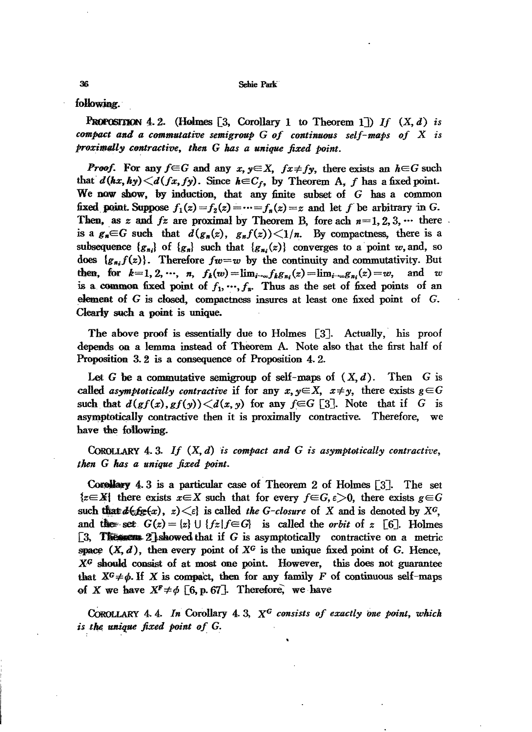Sebie Park

following.

**PROPOSITION 4.2.** (Holmes  $\lceil 3$ , Corollary 1 to Theorem 1) If  $(X, d)$  is compact and a commutative semigroup  $G$  of continuous self-maps of  $X$  is proximally contractive, then G has a unique fixed point.

**Proof.** For any  $f \in G$  and any  $x, y \in X$ ,  $fx \neq fy$ , there exists an  $h \in G$  such that  $d(hx, hy) \leq d(fx, fy)$ . Since  $h \in C_f$ , by Theorem A, f has a fixed point. We now show, by induction, that any finite subset of  $G$  has a common fixed point. Suppose  $f_1(z) = f_2(z) = \cdots = f_n(z) = z$  and let f be arbitrary in G. Then, as z and  $fz$  are proximal by Theorem B, fore ach  $n=1, 2, 3, \cdots$  there is a  $g_n \in G$  such that  $d(g_n(z), g_n f(z)) \leq 1/n$ . By compactness, there is a subsequence  $\{g_n\}$  of  $\{g_n\}$  such that  $\{g_n(x)\}$  converges to a point w, and, so does  $\{g_{n,i}f(z)\}\$ . Therefore  $fw=w$  by the continuity and commutativity. But then, for  $k=1, 2, \cdots, n$ ,  $f_k(w) = \lim_{i \to \infty} f_k g_{n_i}(z) = \lim_{i \to \infty} g_{n_i}(z) = w$ , and  $w$ is a common fixed point of  $f_1, \dots, f_n$ . Thus as the set of fixed points of an element of G is closed, compactness insures at least one fixed point of G. Clearly such a point is unique.

The above proof is essentially due to Holmes [3]. Actually, his proof depends on a lemma instead of Theorem A. Note also that the first half of Proposition 3.2 is a consequence of Proposition 4.2.

Let G be a commutative semigroup of self-maps of  $(X, d)$ . Then G is called asymptotically contractive if for any  $x, y \in X$ ,  $x \neq y$ , there exists  $g \in G$ such that  $d(gf(x), gf(y)) < d(x, y)$  for any  $f \in G$  [3]. Note that if G is asymptotically contractive then it is proximally contractive. Therefore, we have the following.

COROLLARY 4.3. If  $(X, d)$  is compact and G is asymptotically contractive, then G has a unique fixed point.

Corollary 4.3 is a particular case of Theorem 2 of Holmes [3]. The set  $\{z \in X\}$  there exists  $x \in X$  such that for every  $f \in G$ ,  $\varepsilon > 0$ , there exists  $g \in G$ such that  $d\epsilon_{\ell} f_{\ell}(x)$ ,  $z \leq \epsilon$  is called the G-closure of X and is denoted by X°. and the set  $G(z) = \{z\} \cup \{fz | f \in G\}$  is called the *orbit* of z [6]. Holmes  $\lceil 3, 3 \rceil$  **The secure 2** showed that if G is asymptotically contractive on a metric space  $(X, d)$ , then every point of  $X^G$  is the unique fixed point of G. Hence,  $X<sup>G</sup>$  should consist of at most one point. However, this does not guarantee that  $X^G \neq \phi$ . If X is compact, then for any family F of continuous self-maps of X we have  $X^F \neq \emptyset$  [6, p. 67]. Therefore, we have

COROLLARY 4.4. In Corollary 4.3,  $X^G$  consists of exactly one point, which is the unique fixed point of G.

36